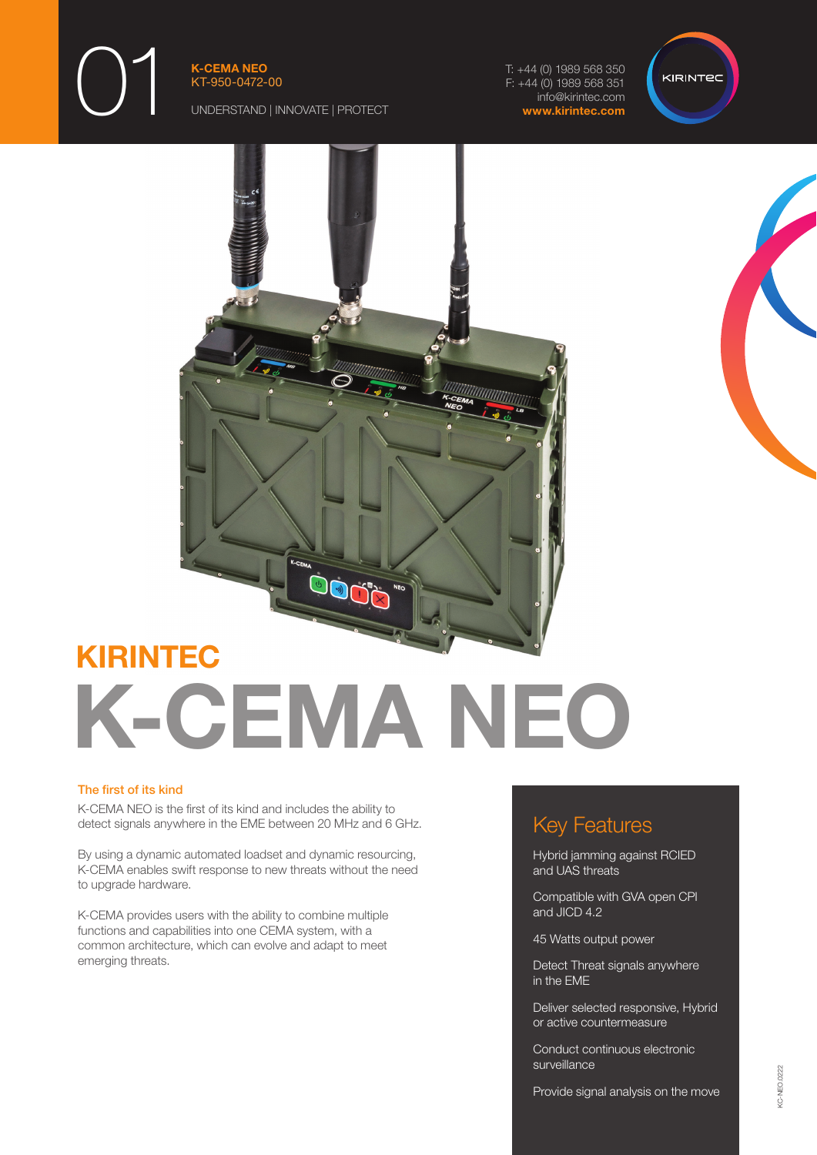01

K-CEMA NEO KT-950-0472-00

UNDERSTAND | INNOVATE | PROTECT

T: +44 (0) 1989 568 350 F: +44 (0) 1989 568 351 info@kirintec.com www.kirintec.com







# KIRINTEC K-CEMA NEO

#### The first of its kind

K-CEMA NEO is the first of its kind and includes the ability to detect signals anywhere in the EME between 20 MHz and 6 GHz.

By using a dynamic automated loadset and dynamic resourcing, K-CEMA enables swift response to new threats without the need to upgrade hardware.

K-CEMA provides users with the ability to combine multiple functions and capabilities into one CEMA system, with a common architecture, which can evolve and adapt to meet emerging threats.

## Key Features

Hybrid jamming against RCIED and UAS threats

Compatible with GVA open CPI and JICD 4.2

45 Watts output power

Detect Threat signals anywhere in the EME

Deliver selected responsive, Hybrid or active countermeasure

Conduct continuous electronic surveillance

Provide signal analysis on the move